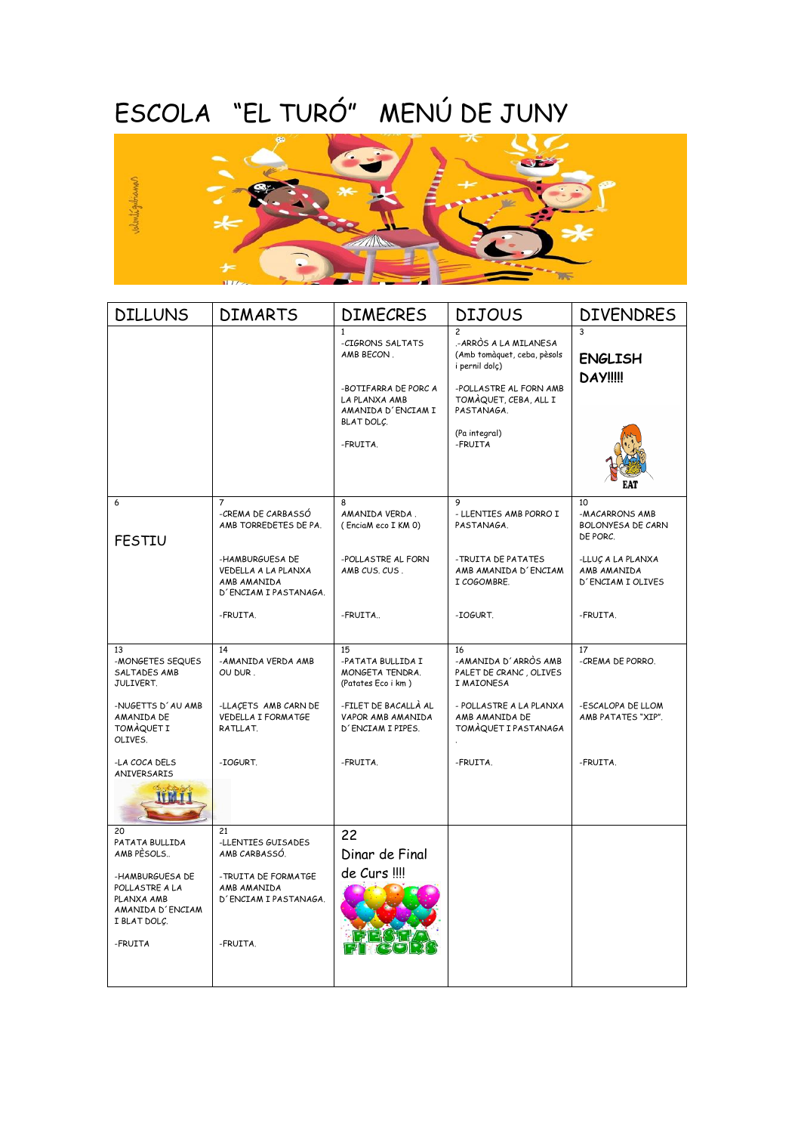## ESCOLA "EL TURÓ" MENÚ DE JUNY



| <b>DILLUNS</b>                                                                      | <b>DIMARTS</b>                                                                 | <b>DIMECRES</b>                                                                                                                         | <b>DIJOUS</b>                                                                                                                                                                         | <b>DIVENDRES</b>                                      |
|-------------------------------------------------------------------------------------|--------------------------------------------------------------------------------|-----------------------------------------------------------------------------------------------------------------------------------------|---------------------------------------------------------------------------------------------------------------------------------------------------------------------------------------|-------------------------------------------------------|
|                                                                                     |                                                                                | $\mathbf{1}$<br>-CIGRONS SALTATS<br>AMB BECON.<br>-BOTIFARRA DE PORC A<br>LA PLANXA AMB<br>AMANIDA D'ENCIAM I<br>BLAT DOLC.<br>-FRUITA. | $\mathfrak{p}$<br>.-ARRÒS A LA MILANESA<br>(Amb tomàquet, ceba, pèsols<br>i pernil dolç)<br>-POLLASTRE AL FORN AMB<br>TOMAQUET, CEBA, ALL I<br>PASTANAGA.<br>(Pa integral)<br>-FRUITA | २<br><b>ENGLISH</b><br><b>DAY!!!!</b>                 |
|                                                                                     |                                                                                |                                                                                                                                         |                                                                                                                                                                                       |                                                       |
| 6<br><b>FESTIU</b>                                                                  | $\overline{7}$<br>-CREMA DE CARBASSÓ<br>AMB TORREDETES DE PA.                  | 8<br>AMANIDA VERDA.<br>(EnciaM eco I KM 0)                                                                                              | 9<br>- LLENTIES AMB PORRO I<br>PASTANAGA.                                                                                                                                             | 10<br>-MACARRONS AMB<br>BOLONYESA DE CARN<br>DE PORC. |
|                                                                                     | -HAMBURGUESA DE<br>VEDELLA A LA PLANXA<br>AMB AMANIDA<br>D'ENCIAM I PASTANAGA. | -POLLASTRE AL FORN<br>AMB CUS, CUS,                                                                                                     | -TRUITA DE PATATES<br>AMB AMANIDA D'ENCIAM<br>I COGOMBRE.                                                                                                                             | -LLUÇ A LA PLANXA<br>AMB AMANIDA<br>D'ENCIAM I OLIVES |
|                                                                                     | -FRUITA.                                                                       | -FRUITA                                                                                                                                 | -IOGURT.                                                                                                                                                                              | -FRUITA.                                              |
| 13<br>-MONGETES SEQUES<br>SALTADES AMB<br>JULIVERT.                                 | 14<br>-AMANIDA VERDA AMB<br>OU DUR.                                            | 15<br>-PATATA BULLIDA I<br>MONGETA TENDRA.<br>(Patates Eco i km)                                                                        | 16<br>-AMANIDA D'ARRÒS AMB<br>PALET DE CRANC, OLIVES<br>I MAIONESA                                                                                                                    | 17<br>-CREMA DE PORRO.                                |
| -NUGETTS D'AU AMB<br>AMANIDA DE<br><b>TOMAQUET I</b><br>OLIVES.                     | -LLACETS AMB CARN DE<br>VEDELLA I FORMATGE<br>RATLLAT.                         | -FILET DE BACALLÀ AL<br>VAPOR AMB AMANIDA<br>D'ENCIAM I PIPES.                                                                          | - POLLASTRE A LA PLANXA<br>AMB AMANIDA DE<br>TOMÀQUET I PASTANAGA                                                                                                                     | -ESCALOPA DE LLOM<br>AMB PATATES "XIP".               |
| -LA COCA DELS<br>ANIVERSARIS                                                        | -IOGURT.                                                                       | -FRUITA.                                                                                                                                | -FRUITA.                                                                                                                                                                              | -FRUITA.                                              |
| 20<br>PATATA BULLIDA<br>AMB PESOLS                                                  | 21<br>-LLENTIES GUISADES<br>AMB CARBASSÓ.                                      | 22<br>Dinar de Final                                                                                                                    |                                                                                                                                                                                       |                                                       |
| -HAMBURGUESA DE<br>POLLASTRE A LA<br>PLANXA AMB<br>AMANIDA D'ENCIAM<br>I BLAT DOLÇ. | -TRUITA DE FORMATGE<br>AMB AMANIDA<br>D'ENCIAM I PASTANAGA.                    | de Curs !!!!                                                                                                                            |                                                                                                                                                                                       |                                                       |
| -FRUITA                                                                             | -FRUITA.                                                                       |                                                                                                                                         |                                                                                                                                                                                       |                                                       |